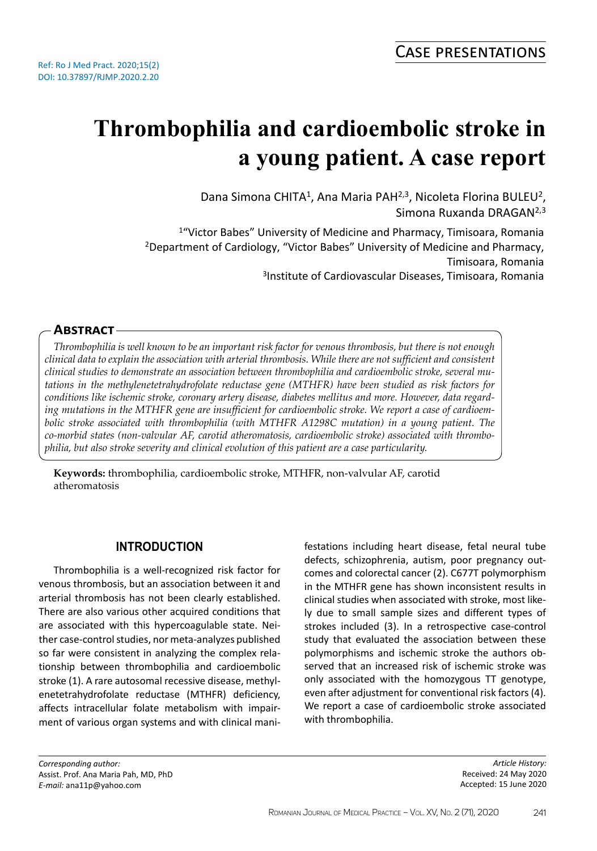# **Thrombophilia and cardioembolic stroke in a young patient. A case report**

Dana Simona CHITA<sup>1</sup>, Ana Maria PAH<sup>2,3</sup>, Nicoleta Florina BULEU<sup>2</sup>, Simona Ruxanda DRAGAN2,3

<sup>1</sup>"Victor Babes" University of Medicine and Pharmacy, Timisoara, Romania <sup>2</sup>Department of Cardiology, "Victor Babes" University of Medicine and Pharmacy, Timisoara, Romania 3 Institute of Cardiovascular Diseases, Timisoara, Romania

## **Abstract**

*Thrombophilia is well known to be an important risk factor for venous thrombosis, but there is not enough clinical data to explain the association with arterial thrombosis. While there are not sufficient and consistent clinical studies to demonstrate an association between thrombophilia and cardioembolic stroke, several mutations in the methylenetetrahydrofolate reductase gene (MTHFR) have been studied as risk factors for conditions like ischemic stroke, coronary artery disease, diabetes mellitus and more. However, data regarding mutations in the MTHFR gene are insufficient for cardioembolic stroke. We report a case of cardioembolic stroke associated with thrombophilia (with MTHFR A1298C mutation) in a young patient. The co-morbid states (non-valvular AF, carotid atheromatosis, cardioembolic stroke) associated with thrombophilia, but also stroke severity and clinical evolution of this patient are a case particularity.*

**Keywords:** thrombophilia, cardioembolic stroke, MTHFR, non-valvular AF, carotid atheromatosis

# **INTRODUCTION**

Thrombophilia is a well-recognized risk factor for venous thrombosis, but an association between it and arterial thrombosis has not been clearly established. There are also various other acquired conditions that are associated with this hypercoagulable state. Neither case-control studies, nor meta-analyzes published so far were consistent in analyzing the complex relationship between thrombophilia and cardioembolic stroke (1). A rare autosomal recessive disease, methylenetetrahydrofolate reductase (MTHFR) deficiency, affects intracellular folate metabolism with impairment of various organ systems and with clinical manifestations including heart disease, fetal neural tube defects, schizophrenia, autism, poor pregnancy outcomes and colorectal cancer (2). C677T polymorphism in the MTHFR gene has shown inconsistent results in clinical studies when associated with stroke, most likely due to small sample sizes and different types of strokes included (3). In a retrospective case-control study that evaluated the association between these polymorphisms and ischemic stroke the authors observed that an increased risk of ischemic stroke was only associated with the homozygous TT genotype, even after adjustment for conventional risk factors (4). We report a case of cardioembolic stroke associated with thrombophilia.

*Corresponding author:*  Assist. Prof. Ana Maria Pah, MD, PhD *E-mail:* ana11p@yahoo.com

*Article History:* Received: 24 May 2020 Accepted: 15 June 2020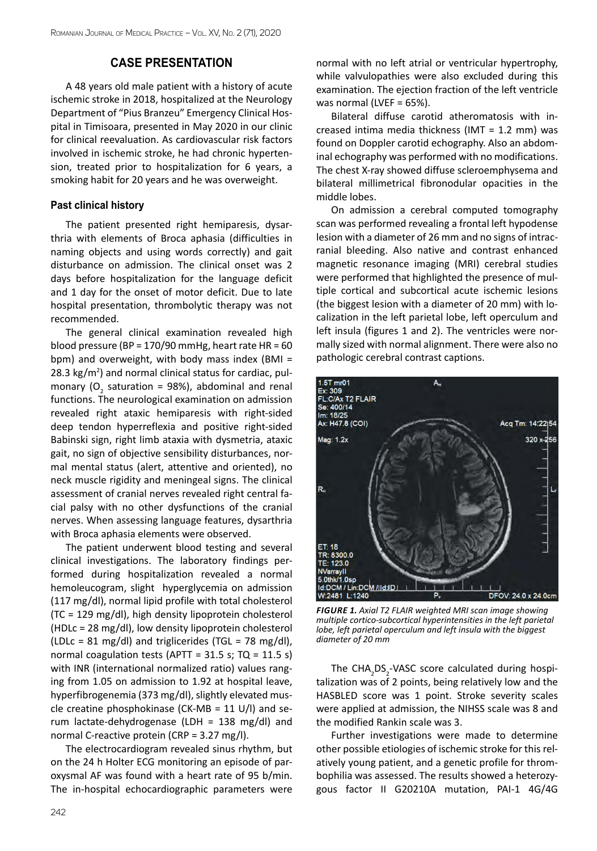## **CASE PRESENTATION**

A 48 years old male patient with a history of acute ischemic stroke in 2018, hospitalized at the Neurology Department of "Pius Branzeu" Emergency Clinical Hospital in Timisoara, presented in May 2020 in our clinic for clinical reevaluation. As cardiovascular risk factors involved in ischemic stroke, he had chronic hypertension, treated prior to hospitalization for 6 years, a smoking habit for 20 years and he was overweight.

### **Past clinical history**

The patient presented right hemiparesis, dysarthria with elements of Broca aphasia (difficulties in naming objects and using words correctly) and gait disturbance on admission. The clinical onset was 2 days before hospitalization for the language deficit and 1 day for the onset of motor deficit. Due to late hospital presentation, thrombolytic therapy was not recommended.

The general clinical examination revealed high blood pressure (BP = 170/90 mmHg, heart rate HR =  $60$ bpm) and overweight, with body mass index (BMI = 28.3 kg/m<sup>2</sup>) and normal clinical status for cardiac, pulmonary ( $O_2$  saturation = 98%), abdominal and renal functions. The neurological examination on admission revealed right ataxic hemiparesis with right-sided deep tendon hyperreflexia and positive right-sided Babinski sign, right limb ataxia with dysmetria, ataxic gait, no sign of objective sensibility disturbances, normal mental status (alert, attentive and oriented), no neck muscle rigidity and meningeal signs. The clinical assessment of cranial nerves revealed right central facial palsy with no other dysfunctions of the cranial nerves. When assessing language features, dysarthria with Broca aphasia elements were observed.

The patient underwent blood testing and several clinical investigations. The laboratory findings performed during hospitalization revealed a normal hemoleucogram, slight hyperglycemia on admission (117 mg/dl), normal lipid profile with total cholesterol (TC = 129 mg/dl), high density lipoprotein cholesterol (HDLc = 28 mg/dl), low density lipoprotein cholesterol (LDLc = 81 mg/dl) and triglicerides (TGL = 78 mg/dl), normal coagulation tests (APTT =  $31.5$  s; TQ =  $11.5$  s) with INR (international normalized ratio) values ranging from 1.05 on admission to 1.92 at hospital leave, hyperfibrogenemia (373 mg/dl), slightly elevated muscle creatine phosphokinase (CK-MB =  $11$  U/l) and serum lactate-dehydrogenase (LDH = 138 mg/dl) and normal C-reactive protein (CRP = 3.27 mg/l).

The electrocardiogram revealed sinus rhythm, but on the 24 h Holter ECG monitoring an episode of paroxysmal AF was found with a heart rate of 95 b/min. The in-hospital echocardiographic parameters were normal with no left atrial or ventricular hypertrophy, while valvulopathies were also excluded during this examination. The ejection fraction of the left ventricle was normal (LVEF = 65%).

Bilateral diffuse carotid atheromatosis with increased intima media thickness (IMT = 1.2 mm) was found on Doppler carotid echography. Also an abdominal echography was performed with no modifications. The chest X-ray showed diffuse scleroemphysema and bilateral millimetrical fibronodular opacities in the middle lobes.

On admission a cerebral computed tomography scan was performed revealing a frontal left hypodense lesion with a diameter of 26 mm and no signs of intracranial bleeding. Also native and contrast enhanced magnetic resonance imaging (MRI) cerebral studies were performed that highlighted the presence of multiple cortical and subcortical acute ischemic lesions (the biggest lesion with a diameter of 20 mm) with localization in the left parietal lobe, left operculum and left insula (figures 1 and 2). The ventricles were normally sized with normal alignment. There were also no pathologic cerebral contrast captions.



*Figure 1. Axial T2 FLAIR weighted MRI scan image showing multiple cortico-subcortical hyperintensities in the left parietal lobe, left parietal operculum and left insula with the biggest diameter of 20 mm*

The  $\text{CHA}_2\text{DS}_2$ -VASC score calculated during hospitalization was of 2 points, being relatively low and the HASBLED score was 1 point. Stroke severity scales were applied at admission, the NIHSS scale was 8 and the modified Rankin scale was 3.

Further investigations were made to determine other possible etiologies of ischemic stroke for this relatively young patient, and a genetic profile for thrombophilia was assessed. The results showed a heterozygous factor II G20210A mutation, PAI-1 4G/4G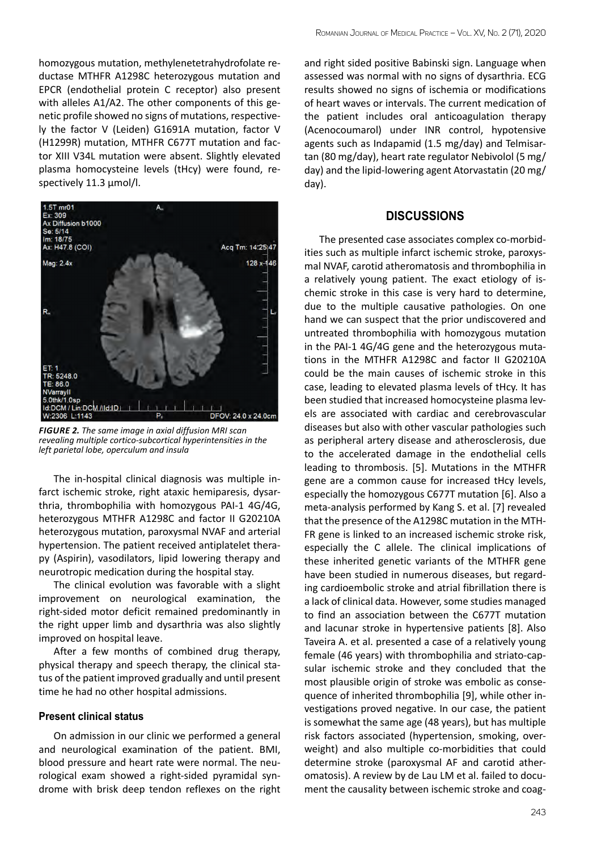homozygous mutation, methylenetetrahydrofolate reductase MTHFR A1298C heterozygous mutation and EPCR (endothelial protein C receptor) also present with alleles A1/A2. The other components of this genetic profile showed no signs of mutations, respectively the factor V (Leiden) G1691A mutation, factor V (H1299R) mutation, MTHFR C677T mutation and factor XIII V34L mutation were absent. Slightly elevated plasma homocysteine levels (tHcy) were found, respectively 11.3 μmol/l.



*Figure 2. The same image in axial diffusion MRI scan revealing multiple cortico-subcortical hyperintensities in the left parietal lobe, operculum and insula*

The in-hospital clinical diagnosis was multiple infarct ischemic stroke, right ataxic hemiparesis, dysarthria, thrombophilia with homozygous PAI-1 4G/4G, heterozygous MTHFR A1298C and factor II G20210A heterozygous mutation, paroxysmal NVAF and arterial hypertension. The patient received antiplatelet therapy (Aspirin), vasodilators, lipid lowering therapy and neurotropic medication during the hospital stay.

The clinical evolution was favorable with a slight improvement on neurological examination, the right-sided motor deficit remained predominantly in the right upper limb and dysarthria was also slightly improved on hospital leave.

After a few months of combined drug therapy, physical therapy and speech therapy, the clinical status of the patient improved gradually and until present time he had no other hospital admissions.

#### **Present clinical status**

On admission in our clinic we performed a general and neurological examination of the patient. BMI, blood pressure and heart rate were normal. The neurological exam showed a right-sided pyramidal syndrome with brisk deep tendon reflexes on the right and right sided positive Babinski sign. Language when assessed was normal with no signs of dysarthria. ECG results showed no signs of ischemia or modifications of heart waves or intervals. The current medication of the patient includes oral anticoagulation therapy (Acenocoumarol) under INR control, hypotensive agents such as Indapamid (1.5 mg/day) and Telmisartan (80 mg/day), heart rate regulator Nebivolol (5 mg/ day) and the lipid-lowering agent Atorvastatin (20 mg/ day).

# **DISCUSSIONS**

The presented case associates complex co-morbidities such as multiple infarct ischemic stroke, paroxysmal NVAF, carotid atheromatosis and thrombophilia in a relatively young patient. The exact etiology of ischemic stroke in this case is very hard to determine, due to the multiple causative pathologies. On one hand we can suspect that the prior undiscovered and untreated thrombophilia with homozygous mutation in the PAI-1 4G/4G gene and the heterozygous mutations in the MTHFR A1298C and factor II G20210A could be the main causes of ischemic stroke in this case, leading to elevated plasma levels of tHcy. It has been studied that increased homocysteine plasma levels are associated with cardiac and cerebrovascular diseases but also with other vascular pathologies such as peripheral artery disease and atherosclerosis, due to the accelerated damage in the endothelial cells leading to thrombosis. [5]. Mutations in the MTHFR gene are a common cause for increased tHcy levels, especially the homozygous C677T mutation [6]. Also a meta-analysis performed by Kang S. et al. [7] revealed that the presence of the A1298C mutation in the MTH-FR gene is linked to an increased ischemic stroke risk, especially the C allele. The clinical implications of these inherited genetic variants of the MTHFR gene have been studied in numerous diseases, but regarding cardioembolic stroke and atrial fibrillation there is a lack of clinical data. However, some studies managed to find an association between the C677T mutation and lacunar stroke in hypertensive patients [8]. Also Taveira A. et al. presented a case of a relatively young female (46 years) with thrombophilia and striato-capsular ischemic stroke and they concluded that the most plausible origin of stroke was embolic as consequence of inherited thrombophilia [9], while other investigations proved negative. In our case, the patient is somewhat the same age (48 years), but has multiple risk factors associated (hypertension, smoking, overweight) and also multiple co-morbidities that could determine stroke (paroxysmal AF and carotid atheromatosis). A review by de Lau LM et al. failed to document the causality between ischemic stroke and coag-